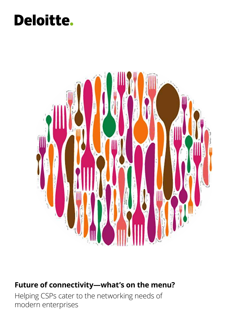### Deloitte.



### **Future of connectivity—what's on the menu?**

Helping CSPs cater to the networking needs of modern enterprises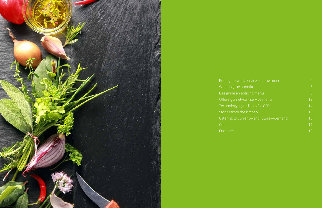

### Putting network Whetting the Designing a Offering a network

- Technology
- Stories fron
- 
- Catering to
- [Contact us](#page-9-0)
- [Endnotes](#page-10-0)

| work services on the menu | $\overline{2}$ |
|---------------------------|----------------|
| e appetite                | 6              |
| an enticing menu          | 8              |
| network service menu      | 12             |
| ingredients for CSPs      | 14             |
| <del>n the kitch</del> en | 15             |
| current-and future-demand | 16             |
|                           | 17             |
|                           | 18             |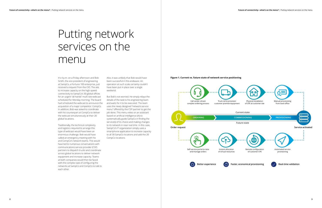<span id="page-2-0"></span>**Future of connectivity—what's on the menu?** | Putting network services on the menu **Future of connectivity—what's on the menu?** | Putting network services on the menu **Future of connectivity—what's on the menu?** | Putting

It's 4 p.m. on a Friday afternoon and Bob Smith, the vice president of engineering at SampCo, a Fortune 100 enterprise, just received a request from the CIO. The ask: to increase capacity on the high-speed connectivity to SampCo's 30 global offices for an urgent "all hands" multi-site webcast scheduled for Monday morning. The board had scheduled the webcast to announce the acquisition of a major competitor: CompCo. In addition, Bob was asked to coordinate with his counterpart at CompCo to deliver the webcast simultaneously at their 20 global locations.

Traditionally, the technical complexity and logistics required to arrange this type of webcast would have been an enormous challenge. Bob would have called an emergency meeting with his and CompCo's network teams. This would have led to numerous conversations with communications service provider (CSP) partners to dispatch trucks and coordinate across global locations to deliver network equipment and increase capacity. Teams at both companies would then be faced with the complex task of configuring the networks at SampCo and CompCo to talk to each other.

Also, it was unlikely that Bob would have been successful in this endeavor. An operation at such scale certainly couldn't have been put in place over a single weekend.

But Bob's not worried. He simply relays the details of the task to his engineering team and waits for it to be executed. The team uses the newly designed "network service menu" offered by the CSP partner to get the job done. This menu relies on an assistant based on artificial intelligence (AI) to systematically guide SampCo in finding the service(s) of its choice and making changes to its network in near real time. In this case, SampCo's IT organization simply uses a smartphone application to increase capacity to all 30 SampCo locations and add the 20 CompCo locations.

## Putting network services on the menu

**Figure 1. Current vs. future state of network service positioning**

![](_page_2_Figure_7.jpeg)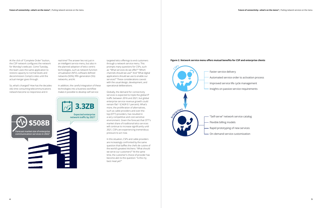**Future of connectivity—what's on the menu?** | Putting network services on the menu **Future of connectivity—what's on the menu?** | Putting network services on the menu **Future of connectivity—what's on the menu** is a putti

At the click of "Complete Order" button, the CSP network configures the network for Monday's webcast. Come Tuesday, the team uses the same application to restore capacity to normal levels and decommission CompCo sites until the actual merger goes through.

So, what's changed? How has the decadesold, time-consuming telecommunications network become so responsive and in

real time? The answer lies not just in an intelligent service menu, but also in the planned adoption of telco-centric technologies, such as network function virtualization (NFV), software defined networks (SDN), fifth-generation (5G) networks, and AI.

In addition, the careful integration of these technologies into a business workflow makes it possible to develop self-service

targeted telco offerings to end customers through a network service menu. This prompts many questions for CSPs, such as: "What services do we offer?" "Which channels should we use?" And "What digital applications should we use to enable our services?" These considerations coexist with the usual design, development, and operational deliberations.

Globally, the demand for connectivity services is expected to triple the global IP traffic between 2016 and 2021, but global enterprise service revenue growth could remain flat<sup>1,2</sup> (CAGR 0.1 percent). What's more, the proliferation of alternatives, such as cable providers and over-thetop (OTT) providers, has resulted in a very competitive and cost-sensitive environment. Given the forecast that OTT's market share of traditional telco services will continue to increase significantly until 2021, CSPs are experiencing tremendous pressure to act now.

In this situation, CSPs and cable providers are increasingly confronted by the same question that baffles the chefs de cuisine of the world's greatest kitchens: "What should we serve our customers?" At the same time, the customer's choice of provider has become akin to the question: "Is this my best meal yet?"

### **Figure 2. Network service menu offers mutual benefits for CSP and enterprise clients**

![](_page_3_Figure_10.jpeg)

![](_page_3_Picture_5.jpeg)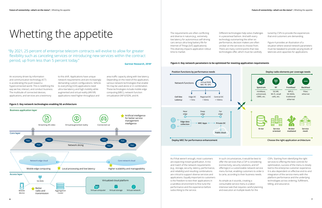An economy driven by information and communication technology (ICT) is accelerating the push toward a hyperconnected world. This is redefining the way we live, interact, and conduct business. The multitude of connected devices, applications, and services are a testimony

to this shift. Applications have unique network requirements and are increasingly demanding custom configurations. Vehicleto-everything (V2X) applications need ultra-low latency and high mobility while augmented and virtual reality (AR/VR) applications need higher throughput and

area traffic capacity along with low latency. Depending on the need of the application, various network technologies that enable 5G may be used alone or in combination. These technologies include mobile edge computing (MEC), network function virtualization (NFV)/SDN, and AI.

The requirements are often conflicting and diverse in nature (e.g., extremely low latency for autonomous self-driving cars versus ultra-long battery life for Internet of Things [IoT] applications). This diversity impacts application rollout time to market.

Different technologies help solve challenges in a piecemeal fashion. And with every technology outsmarting the other on performance, decision makers are often unclear on the services to choose from. There are many control points that new technologies offer, which must be carefully

tuned by CSPs to provide the experiences that end customers are demanding.

Figure 4 provides an illustration of a situation where several network parameters must be tweaked to provide varying levels of latencies and capacities for applications.

As if that weren't enough, most customers are expecting instant gratification. A mix and match of the network requirements (e.g., storage, security, latency, performance, and reliability) and resulting combinations are critical to support diverse services and applications. Equally important to customers is the freedom to test their applications in a sandbox environment to fine-tune the performance and the experience before subscribing to the service.

In such circumstances, it would be best to offer the services that a CSP is considering (connectivity, security solutions, and IoT offerings) in a customizable network service menu format, enabling customers to order à la carte, according to their business needs.

As simple as it sounds, creating a consumable service menu is a laborintensive task that requires careful planning and execution at multiple levels for the

CSPs. Starting from identifying the right services to offering the best controls for optimization, success of the menu is closely tied to the enterprise customer experience. It is also dependent on effective end-to-end integration of the service menu with the platform performance and the underlying technologies across ordering, fulfillment, billing, and assurance.

## <span id="page-4-0"></span>Whetting the appetite

 "By 2021, 25 percent of enterprise telecom contracts will evolve to allow for greater flexibility such as canceling services or introducing new services within the contract period, up from less than 5 percent today."

#### **Gartner Research, 20183**

### **Figure 4. Key network parameters to be optimized for meeting application requirements**

![](_page_4_Figure_11.jpeg)

![](_page_4_Figure_7.jpeg)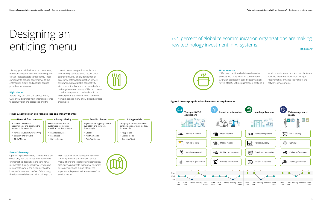Like any good Michelin-starred restaurant, the optimal network service menu requires certain indispensable components. These components provide convenience to the enterprise's clients and position service providers for success.

### **Right theme.**

Before they can offer the service menu, CSPs should partner with enterprise clients to carefully plan the categories and the

menu's overall design. A niche focus on connectivity services (SDN, secure cloud connectivity, etc.) or a wider platter of enterprise offerings (application service assurance, high-available connectivity, etc.) is a choice that must be made before crafting the actual catalog. CSPs can choose to either compete on cost leadership, or on truly differentiated services—and the network service menu should clearly reflect

![](_page_5_Picture_6.jpeg)

this choice.

**Order to taste.**  CSPs have traditionally delivered standard services with little room for customization. Granular, application-based customization (levels of QoS, uptime guarantees, etc.) and a

sandbox environment (to test the platform's ability to meet the application's unique requirements) enhance the value of the network service menu.

# <span id="page-5-0"></span>Designing an enticing menu

**Figure 5. Services can be organized into one of many themes**

Grouping of services based on contracts and payment models. For example: **Network function Industry offering Geo-distribution Constribution Pricing models** 

### 63.5 percent of global telecommunication organizations are making new technology investment in AI systems. **IDC Report<sup>4</sup>**

![](_page_5_Picture_27.jpeg)

### **Figure 6. New-age applications have custom requirements**

### **Ease of discovery.**

Opening a poorly written, stained menu on which only half the dishes look appetizing or interesting doesn't set the tone for a memorable dining experience. And unlike restaurants, where the customer has the luxury of a seasoned maître d' discussing the signature dishes and wine pairings, the

first customer touch for network services is mostly through the network service menu. Therefore, incorporating technology aids, such as chatbots that use AI to curate customer cues and suitably tailor the experience, is pivotal to the success of the service menu.

![](_page_5_Picture_25.jpeg)

Based on the service

requirements and its role in the network. For example:

- **•** Virtual private networks (VPN)
- **•** Security and firewalls
- **•** SD-WAN, etc.

### Service bundles that are customized for industry specifications. For example:

- **•** Financial services **•** Health care
- **•** High-tech, etc.

Segmentation by geographical availability and coverage. For example:

- **•** Global
- **•** North America **•** Asia Pacific, etc.

**•** Pay per use

**•** License model **•** One time/fixed

![](_page_5_Figure_30.jpeg)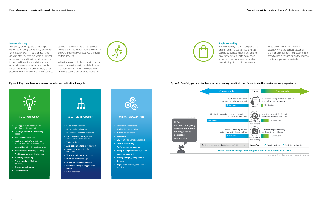#### **Figure 7. Key considerations across the solution realization life cycle Figure 8. Carefully planned implementations leading to radical transformation in the service delivery experience**

### **Instant delivery.**

Availability, ordering lead times, shipping delays, scheduling, connectivity, and other factors can have an impact on real-time delivery of the service. So, while it's critical to develop capabilities that deliver services in near real time, it is equally important to establish reasonable expectations with customers where real-time delivery is not possible. Modern cloud and virtual services technologies have transformed service delivery, eliminating truck rolls and reducing delivery timelines by almost two-thirds for certain services.

While there are multiple factors to consider across the service design and deployment life cycle, results from carefully planned implementations can be quite spectacular.

# **Rapid scalability.**

![](_page_6_Figure_45.jpeg)

Rapid scalability of the cloud platforms and on-demand capabilities of virtual technologies have made it possible for enterprise customers to demand, in a matter of seconds, services such as provisioning of an additional secure

video delivery channel or firewall for security. While the perfect customer experience requires careful seasoning of a few technologies, it's within the realm of practical implementation today.

### **OPERATIONALIZATION**

- **• Developer onboarding**
- **• Application registration**
- **• AuthN/Z** mechanism
- **• API access**
- **• Environment** Sandbox/production
- **• Service monitoring**
- **• Performance management**
- **• Policy management**/configuration
- **• Issue management**
- **• Rating, charging, and payment**
- **• Security**
- **• Application patching** and service updates

![](_page_6_Picture_43.jpeg)

### **SOLUTION DEPLOYMENT**

- **• RF coverage** planning
- Network **slice selection**
- Determination of **MEC locations**
- **• Application mobility** (transfer of MEC when user in transit)
- **• VNF distribution**
- **• Application hosting** configuration
- **• State synchronization** (for continuity)
- **• Third-party integration** points
- **• MPLS/SD-WAN** topology
- **• Workflow** and **orchestration**
- **• Sandbox testing** and **application tuning**
- **• CI/CD** approach

![](_page_6_Picture_29.jpeg)

![](_page_6_Figure_6.jpeg)

- public cloud, Linux/Windows, etc.)
- **• Integration** with third-party services
- **• Availability/redundancy** planning
- **• Traffic steering** and **affinity rules**
- **• Elasticity** and **scaling**
- **• Feature update** Mode and frequency
- **• Assurance** and **support**
- **• Cost of service**

![](_page_6_Picture_15.jpeg)

![](_page_6_Figure_46.jpeg)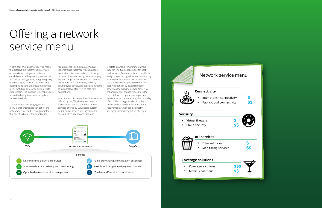![](_page_7_Figure_22.jpeg)

In light of all this, a network service menu that displays the customizable services across a broad category of network capabilities, including mobility, connectivity, and device management, alongside quality of service (QoS) controls and a demandbased pricing card, will create the perfect menu for future enterprise customers to choose from. The platform will enable users to quickly deploy, terminate, or update services on the fly.

The advantage of leveraging such a menu is that enterprises can opt for the network services and service guarantees that specifically meet their application

requirements. For example, a medical IoT enterprise customer typically needs applications like remote diagnostic, longterm condition monitoring, remote surgery, etc. Such applications depend on services like inter-branch connectivity, security solutions, IoT device, and edge deployments to support low-latency, high-data rate applications.

In addition to displaying the various services offered by the CSP, the network service menu should act as a front end for the services offered by CSP, enable custom definitions of service-level agreements (SLAs) such as latency and data, and

facilitate a sandbox environment where they can fine-tune applications for best performance. Customers should be able to easily browse through the menu, assisted by an intuitive, AI-powered portal, and select services based on a projected monthly cost. Additionally, by establishing selfservice as the primary method for service enhancement or change requests, CSPs can cut down on operational expenses significantly. At the same time, this capability offers CSPs strategic insights into the client's service delivery and operational requirements, which can be directly leveraged in improving future offerings.

# <span id="page-7-0"></span>Offering a network service menu

![](_page_7_Figure_7.jpeg)

### Network service menu

### Connectivity

- Inter-branch connectivity
	- Public cloud connectivity

### **Security**

• Virtual firewalls • Cloud security

![](_page_7_Picture_14.jpeg)

### **IoT** services

- Edge solutions
- Monitoring services

| <b>Coverage solutions</b> |  |
|---------------------------|--|
|---------------------------|--|

- Coverage solutions • Mobility solutions
-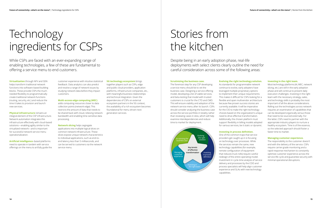**Virtualization** through NFV and SDN helps transform traditional network functions into software-based building blocks. These provide CSPs the muchneeded flexibility to programmatically create traditional network functions (routing, security, etc.) and reduce the time it takes to provision and launch new services.

### **Physical infrastructure** remains an integral element of the CSP infrastructure. Network automation integrates this infrastructure effectively with cloud-based solutions—enabling agility similar to the virtualized network—and is important for successful network service menu

operationalization.

**Artificial intelligence**–based platforms need to operate in tandem with service offerings on the menu to artfully guide the customer experience with intuitive statistical feedback. Data analytics can also predict and resolve a range of network issues by studying network data before they impact customers.

### **Multi-access edge computing (MEC)**

adds computing resources closer to data collection points (network edge). This restricts the amount of data that needs to be shared back with cloud, relieving network bandwidth and enabling time-sensitive data processing.

### **Network slicing** helps segregate

applications into multiple logical slices on common network infrastructure. These slices expose unique network characteristics to individual applications, such as end-toend latency less than 5 milliseconds, and can be served to customers via the network service menu.

### **5G technology ecosystem** brings

together players such as CSPs, edge and public cloud providers, application platforms, infrastructure companies, etc., with meaningful business relationships and technical integration. Given the dependencies of CSPs on external ecosystem partners in the 5G context, the availability of a rich ecosystem becomes foundational for menu-driven nextgeneration services.

### **Scrutinizing the business case.**

The foremost step for any CSP developing a service menu should be to vet the business case. Designing a service offering model, developing a list of viable services, and beta-testing that model with trusted customers is crucial for the CTO and CMO. This will ensure viability and adoption of the network service menu after its launch. CSPs should consider analyzing the business case across the service portfolio in totality rather than reviewing cases in silos, which will help examine interdependencies and reduce time to market for deployment.

### **Evolving the right technology solution.**

As standards for programmable network continue to evolve, early adopters have leveraged multiple proprietary options to implement their unique requirements. This makes it difficult for CSPs looking for a flexible and open multivendor architecture because few proven success stories are currently available. It will be imperative for the CIO to make the right technology choices based on the organization's unique need to drive effective transformation. Additionally, the chosen platform must support flexibility in billing models adopted for various services, be it static or dynamic.

### **Investing in process definition.**

One of the common traps that service providers get caught up in is focusing on technology over processes. While the services remain the same, new technology capabilities (for example, remote configuration of equipment that reduces truck rolls) require careful redesign of the entire operating model. Investment in cycle-time analysis of service delivery and processes by the COO and process specialists will help align customer experience and SLAs with new technology capabilities.

### **Investing in the right team.**

Most technology platforms (AI, MEC, network slicing, etc.) are still in the early adoption phase and will continue to present daily execution challenges. Investing in the right team with the necessary strategy, sales, and technology skills is probably the most important of all the above considerations. Rolling out the technologies across network requires an examination of capabilities that can be developed organically versus those that need to be sourced externally. For the latter, CSPs need to partner with the appropriate industry players to nurture a healthy ecosystem. Time is of the essence, so the selected approach should foster a faster time to market.

### **Managing customer experience.**

The responsibility to the customer doesn't end with the delivery of the service. CSPs require carrier-grade monitoring and a rapid-response mechanism to constantly optimize customer experience across the service life cycle and guarantee security with minimal operational disruptions.

# <span id="page-8-0"></span>Technology ingredients for CSPs

# Stories from the kitchen

While CSPs are faced with an ever-expanding range of enabling technologies, a few of these are fundamental to offering a service menu to end customers.

Despite being in an early adoption phase, real-life deployments with select clients clearly outline the need for careful consideration across some of the following areas:

![](_page_8_Figure_19.jpeg)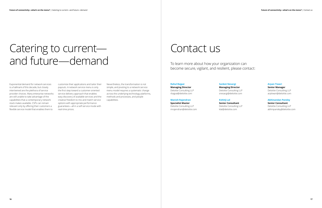## <span id="page-9-0"></span>Catering to current and future—demand

Exponential demand for network services is a hallmark of this decade, but closely intertwined are the plethora of service provider choices. Many enterprise networks are still unable to take advantage of the capabilities that a contemporary network stack makes available. CSPs can remain relevant only by offering their customers a flexible service model that enables them to

customize their applications and tailor their payouts. A network service menu is only the first step toward a customer-oriented service delivery approach that enables easy discovery of available services and the creative freedom to mix and match service options with appropriate performance guarantees—all in a self-service mode with real-time prices.

Nevertheless, the transformation is not simple, and pivoting to a network service menu model requires a systematic change across the underlying technology platforms, methods and processes, and people capabilities.

## Contact us

### **Rahul Bajpai**

**Managing Director** Deloitte Consulting LLP rbajpai@deloitte.com

### **Manish Rajendran**

**Specialist Master** Deloitte Consulting LLP mrajendran@deloitte.com

### **Sanket Nesargi Managing Director**

Deloitte Consulting LLP snesargi@deloitte.com

### **Kshitij Lal**

**Senior Consultant** Deloitte Consulting LLP klal@deloitte.com

### **Arpan Tiwari**

**Senior Manager** Deloitte Consulting LLP arptiwari@deloitte.com

### **Abhinandan Pandey**

**Senior Consultant** Deloitte Consulting LLP abhinpandey@deloitte.com

To learn more about how your organization can become secure, vigilant, and resilient, please contact: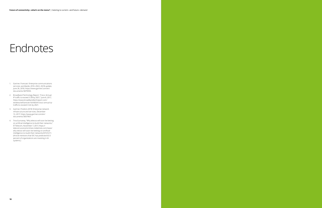## <span id="page-10-0"></span>**Endnotes**

- 1. Gartner, Forecast: Enterprise communications services, worldwide, 2016–2022, 2Q18 update, June 26, 2018, https://www.gartner.com/en/ documents/3879993.
- 2. Broadband Technology Report, "Cisco: Annual IP traffic to exceed 3 ZB by 2021," June 8, 2017, https://www.broadbandtechreport.com/ wireless/wifi/article/16448341/cisco-annual-iptraffic-to-exceed-3-zb-by-2021.
- 3. Gartner, Predicts 2018: Enterprise network infrastructure and services, December 13, 2017, https://www.gartner.com/en/ documents/3837967.
- 4. Tina Gurnaney, "Why telecos will soon be betting on artificial intelligence to build their networks," ETTelecom, November 7, 2017, https:// telecom.economictimes.indiatimes.com/news/ why-telcos-will-soon-be-betting-on-artificialintelligence-to-build-their-networks/61531211. (Article mentions that IDC has predicted 63.5 percent of organizations are investing in AI systems.)